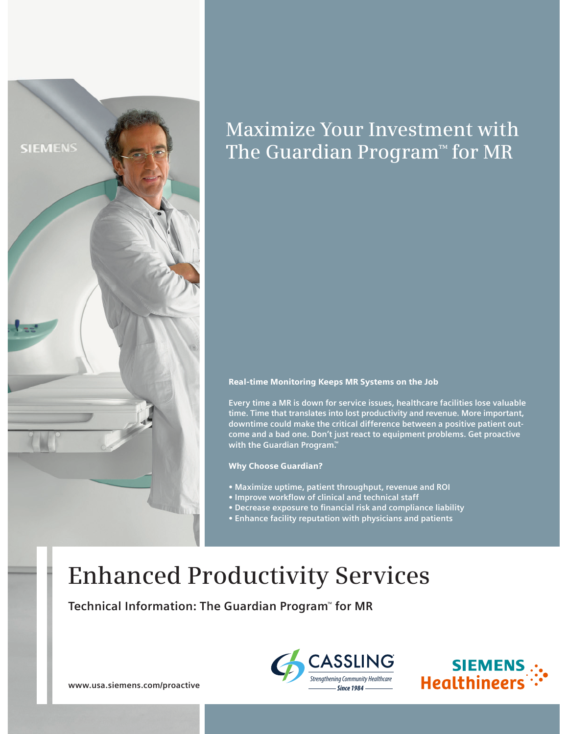

# Maximize Your Investment with The Guardian Program™ for MR

# Real-time Monitoring Keeps MR Systems on the Job

**Every time a MR is down for service issues, healthcare facilities lose valuable time. Time that translates into lost productivity and revenue. More important, downtime could make the critical difference between a positive patient outcome and a bad one. Don't just react to equipment problems. Get proactive with the Guardian Program.™**

Why Choose Guardian?

- **Maximize uptime, patient throughput, revenue and ROI**
- Improve workflow of clinical and technical staff
- **Decrease exposure to financial risk and compliance liability**
- **Enhance facility reputation with physicians and patients**

# Enhanced Productivity Services

**Technical Information: The Guardian Program**™  **for MR**





**www.usa.siemens.com/proactive**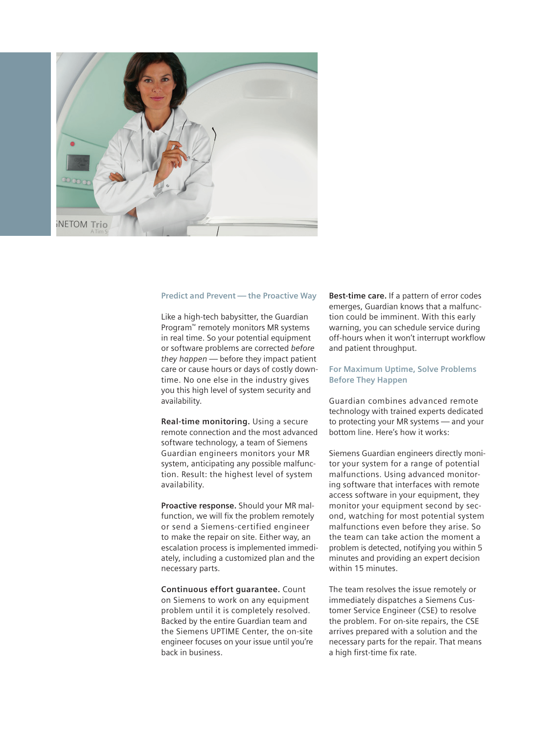

#### **Predict and Prevent — the Proactive Way**

Like a high-tech babysitter, the Guardian Program™ remotely monitors MR systems in real time. So your potential equipment or software problems are corrected *before they happen* — before they impact patient care or cause hours or days of costly downtime. No one else in the industry gives you this high level of system security and availability.

**Real-time monitoring.** Using a secure remote connection and the most advanced software technology, a team of Siemens Guardian engineers monitors your MR system, anticipating any possible malfunction. Result: the highest level of system availability.

**Proactive response.** Should your MR malfunction, we will fix the problem remotely or send a Siemens-certified engineer to make the repair on site. Either way, an escalation process is implemented immediately, including a customized plan and the necessary parts.

**Continuous effort guarantee.** Count on Siemens to work on any equipment problem until it is completely resolved. Backed by the entire Guardian team and the Siemens UPTIME Center, the on-site engineer focuses on your issue until you're back in business.

**Best-time care.** If a pattern of error codes emerges, Guardian knows that a malfunction could be imminent. With this early warning, you can schedule service during off-hours when it won't interrupt workflow and patient throughput.

# **For Maximum Uptime, Solve Problems Before They Happen**

Guardian combines advanced remote technology with trained experts dedicated to protecting your MR systems — and your bottom line. Here's how it works:

Siemens Guardian engineers directly monitor your system for a range of potential malfunctions. Using advanced monitoring software that interfaces with remote access software in your equipment, they monitor your equipment second by second, watching for most potential system malfunctions even before they arise. So the team can take action the moment a problem is detected, notifying you within 5 minutes and providing an expert decision within 15 minutes.

The team resolves the issue remotely or immediately dispatches a Siemens Customer Service Engineer (CSE) to resolve the problem. For on-site repairs, the CSE arrives prepared with a solution and the necessary parts for the repair. That means a high first-time fix rate.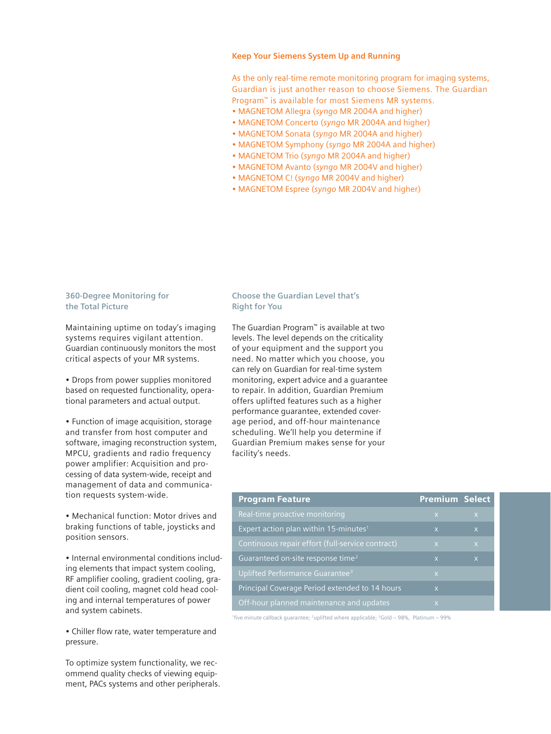### **Keep Your Siemens System Up and Running**

As the only real-time remote monitoring program for imaging systems, Guardian is just another reason to choose Siemens. The Guardian Program™ is available for most Siemens MR systems.

- MAGNETOM Allegra (*syngo* MR 2004A and higher)
- MAGNETOM Concerto (*syngo* MR 2004A and higher)
- MAGNETOM Sonata (*syngo* MR 2004A and higher)
- MAGNETOM Symphony (*syngo* MR 2004A and higher)
- MAGNETOM Trio (*syngo* MR 2004A and higher)
- MAGNETOM Avanto (*syngo* MR 2004V and higher)
- MAGNETOM C! (*syngo* MR 2004V and higher)
- MAGNETOM Espree (*syngo* MR 2004V and higher)

### **360-Degree Monitoring for the Total Picture**

Maintaining uptime on today's imaging systems requires vigilant attention. Guardian continuously monitors the most critical aspects of your MR systems.

• Drops from power supplies monitored based on requested functionality, operational parameters and actual output.

• Function of image acquisition, storage and transfer from host computer and software, imaging reconstruction system, MPCU, gradients and radio frequency power amplifier: Acquisition and processing of data system-wide, receipt and management of data and communication requests system-wide.

• Mechanical function: Motor drives and braking functions of table, joysticks and position sensors.

• Internal environmental conditions including elements that impact system cooling, RF amplifier cooling, gradient cooling, gradient coil cooling, magnet cold head cooling and internal temperatures of power and system cabinets.

• Chiller flow rate, water temperature and pressure.

To optimize system functionality, we recommend quality checks of viewing equipment, PACs systems and other peripherals.

# **Choose the Guardian Level that's Right for You**

The Guardian Program™ is available at two levels. The level depends on the criticality of your equipment and the support you need. No matter which you choose, you can rely on Guardian for real-time system monitoring, expert advice and a guarantee to repair. In addition, Guardian Premium offers uplifted features such as a higher performance guarantee, extended coverage period, and off-hour maintenance scheduling. We'll help you determine if Guardian Premium makes sense for your facility's needs.

| <b>Program Feature</b>                            | <b>Premium Select</b>   |                |
|---------------------------------------------------|-------------------------|----------------|
| Real-time proactive monitoring                    | $\overline{X}$          | $\overline{X}$ |
| Expert action plan within 15-minutes <sup>1</sup> | $\overline{\mathsf{x}}$ | $\overline{X}$ |
| Continuous repair effort (full-service contract)  | $\overline{X}$          | $\overline{X}$ |
| Guaranteed on-site response time <sup>2</sup>     | $\overline{\mathsf{x}}$ | $\mathsf{x}$   |
| Uplifted Performance Guarantee <sup>3</sup>       | $\mathsf{X}$            |                |
| Principal Coverage Period extended to 14 hours    | $\overline{\mathsf{x}}$ |                |
| Off-hour planned maintenance and updates          | $\overline{\mathsf{x}}$ |                |

<sup>1</sup>five minute callback guarantee; <sup>2</sup>uplifted where applicable; <sup>3</sup>Gold – 98%, Platinum – 99%